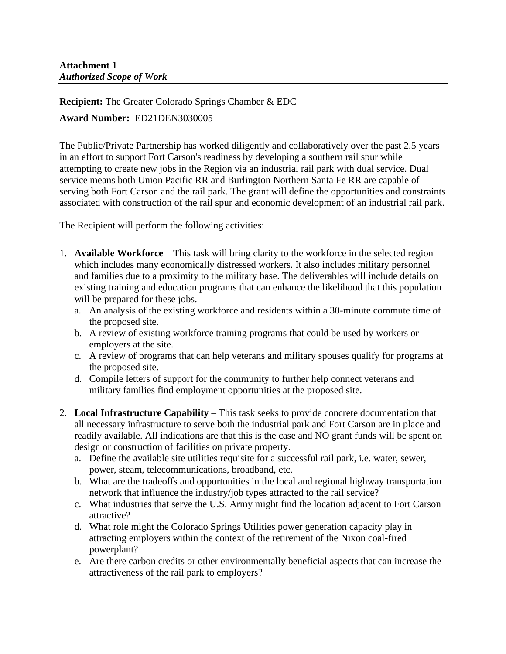**Recipient:** The Greater Colorado Springs Chamber & EDC

## **Award Number:** ED21DEN3030005

The Public/Private Partnership has worked diligently and collaboratively over the past 2.5 years in an effort to support Fort Carson's readiness by developing a southern rail spur while attempting to create new jobs in the Region via an industrial rail park with dual service. Dual service means both Union Pacific RR and Burlington Northern Santa Fe RR are capable of serving both Fort Carson and the rail park. The grant will define the opportunities and constraints associated with construction of the rail spur and economic development of an industrial rail park.

The Recipient will perform the following activities:

- 1. **Available Workforce** This task will bring clarity to the workforce in the selected region which includes many economically distressed workers. It also includes military personnel and families due to a proximity to the military base. The deliverables will include details on existing training and education programs that can enhance the likelihood that this population will be prepared for these jobs.
	- a. An analysis of the existing workforce and residents within a 30-minute commute time of the proposed site.
	- b. A review of existing workforce training programs that could be used by workers or employers at the site.
	- c. A review of programs that can help veterans and military spouses qualify for programs at the proposed site.
	- d. Compile letters of support for the community to further help connect veterans and military families find employment opportunities at the proposed site.
- 2. **Local Infrastructure Capability** This task seeks to provide concrete documentation that all necessary infrastructure to serve both the industrial park and Fort Carson are in place and readily available. All indications are that this is the case and NO grant funds will be spent on design or construction of facilities on private property.
	- a. Define the available site utilities requisite for a successful rail park, i.e. water, sewer, power, steam, telecommunications, broadband, etc.
	- b. What are the tradeoffs and opportunities in the local and regional highway transportation network that influence the industry/job types attracted to the rail service?
	- c. What industries that serve the U.S. Army might find the location adjacent to Fort Carson attractive?
	- d. What role might the Colorado Springs Utilities power generation capacity play in attracting employers within the context of the retirement of the Nixon coal-fired powerplant?
	- e. Are there carbon credits or other environmentally beneficial aspects that can increase the attractiveness of the rail park to employers?